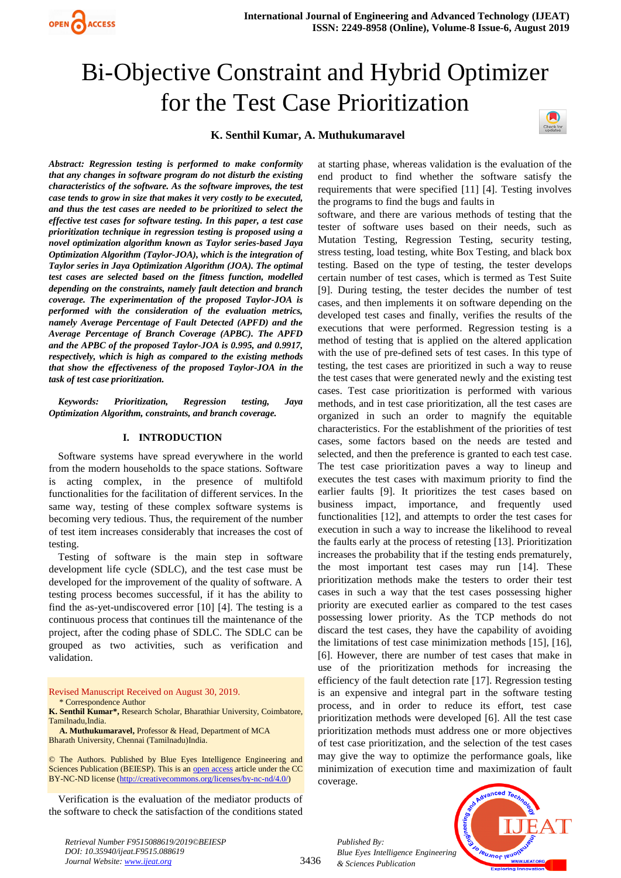

# Bi-Objective Constraint and Hybrid Optimizer for the Test Case Prioritization

# **K. Senthil Kumar, A. Muthukumaravel**



*Abstract: Regression testing is performed to make conformity that any changes in software program do not disturb the existing characteristics of the software. As the software improves, the test case tends to grow in size that makes it very costly to be executed, and thus the test cases are needed to be prioritized to select the effective test cases for software testing. In this paper, a test case prioritization technique in regression testing is proposed using a novel optimization algorithm known as Taylor series-based Jaya Optimization Algorithm (Taylor-JOA), which is the integration of Taylor series in Jaya Optimization Algorithm (JOA). The optimal test cases are selected based on the fitness function, modelled depending on the constraints, namely fault detection and branch coverage. The experimentation of the proposed Taylor-JOA is performed with the consideration of the evaluation metrics, namely Average Percentage of Fault Detected (APFD) and the Average Percentage of Branch Coverage (APBC). The APFD and the APBC of the proposed Taylor-JOA is 0.995, and 0.9917, respectively, which is high as compared to the existing methods that show the effectiveness of the proposed Taylor-JOA in the task of test case prioritization.* 

*Keywords: Prioritization, Regression testing, Jaya Optimization Algorithm, constraints, and branch coverage.*

## **I. INTRODUCTION**

Software systems have spread everywhere in the world from the modern households to the space stations. Software is acting complex, in the presence of multifold functionalities for the facilitation of different services. In the same way, testing of these complex software systems is becoming very tedious. Thus, the requirement of the number of test item increases considerably that increases the cost of testing.

Testing of software is the main step in software development life cycle (SDLC), and the test case must be developed for the improvement of the quality of software. A testing process becomes successful, if it has the ability to find the as-yet-undiscovered error [10] [4]. The testing is a continuous process that continues till the maintenance of the project, after the coding phase of SDLC. The SDLC can be grouped as two activities, such as verification and validation.

Revised Manuscript Received on August 30, 2019. \* Correspondence Author

**K. Senthil Kumar\*,** Research Scholar, Bharathiar University, Coimbatore, Tamilnadu,India.

**A. Muthukumaravel,** Professor & Head, Department of MCA Bharath University, Chennai (Tamilnadu)India.

© The Authors. Published by Blue Eyes Intelligence Engineering and Sciences Publication (BEIESP). This is an [open access](https://www.openaccess.nl/en/open-publications) article under the CC BY-NC-ND license [\(http://creativecommons.org/licenses/by-nc-nd/4.0/\)](http://creativecommons.org/licenses/by-nc-nd/4.0/)

Verification is the evaluation of the mediator products of the software to check the satisfaction of the conditions stated

*Retrieval Number F9515088619/2019©BEIESP DOI: 10.35940/ijeat.F9515.088619 Journal Website: www.ijeat.org*

at starting phase, whereas validation is the evaluation of the end product to find whether the software satisfy the requirements that were specified [11] [4]. Testing involves the programs to find the bugs and faults in

software, and there are various methods of testing that the tester of software uses based on their needs, such as Mutation Testing, Regression Testing, security testing, stress testing, load testing, white Box Testing, and black box testing. Based on the type of testing, the tester develops certain number of test cases, which is termed as Test Suite [9]. During testing, the tester decides the number of test cases, and then implements it on software depending on the developed test cases and finally, verifies the results of the executions that were performed. Regression testing is a method of testing that is applied on the altered application with the use of pre-defined sets of test cases. In this type of testing, the test cases are prioritized in such a way to reuse the test cases that were generated newly and the existing test cases. Test case prioritization is performed with various methods, and in test case prioritization, all the test cases are organized in such an order to magnify the equitable characteristics. For the establishment of the priorities of test cases, some factors based on the needs are tested and selected, and then the preference is granted to each test case. The test case prioritization paves a way to lineup and executes the test cases with maximum priority to find the earlier faults [9]. It prioritizes the test cases based on business impact, importance, and frequently used functionalities [12], and attempts to order the test cases for execution in such a way to increase the likelihood to reveal the faults early at the process of retesting [13]. Prioritization increases the probability that if the testing ends prematurely, the most important test cases may run [14]. These prioritization methods make the testers to order their test cases in such a way that the test cases possessing higher priority are executed earlier as compared to the test cases possessing lower priority. As the TCP methods do not discard the test cases, they have the capability of avoiding the limitations of test case minimization methods [15], [16], [6]. However, there are number of test cases that make in use of the prioritization methods for increasing the efficiency of the fault detection rate [17]. Regression testing is an expensive and integral part in the software testing process, and in order to reduce its effort, test case prioritization methods were developed [6]. All the test case prioritization methods must address one or more objectives of test case prioritization, and the selection of the test cases may give the way to optimize the performance goals, like minimization of execution time and maximization of fault coverage.

*Published By: Blue Eyes Intelligence Engineering & Sciences Publication* 



3436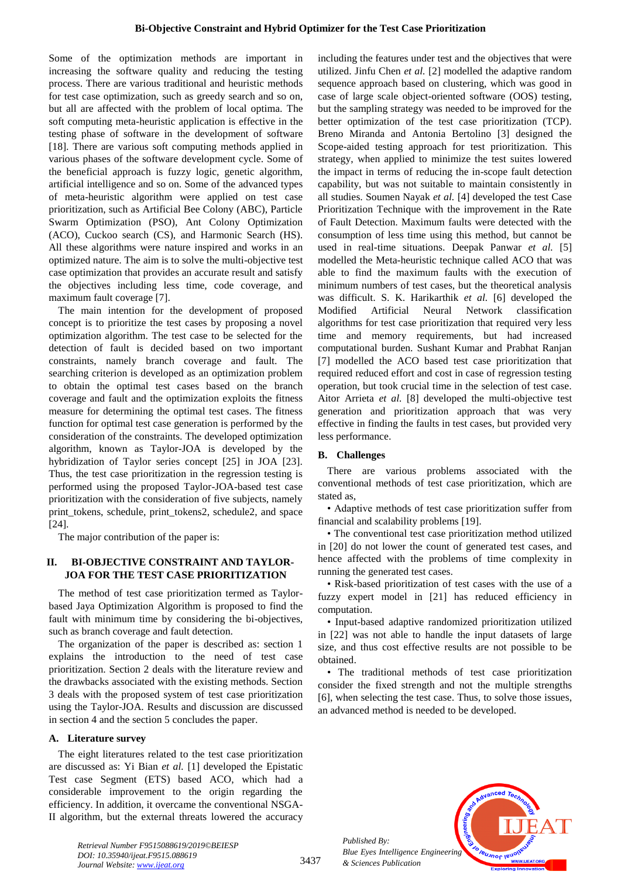Some of the optimization methods are important in increasing the software quality and reducing the testing process. There are various traditional and heuristic methods for test case optimization, such as greedy search and so on, but all are affected with the problem of local optima. The soft computing meta-heuristic application is effective in the testing phase of software in the development of software [18]. There are various soft computing methods applied in various phases of the software development cycle. Some of the beneficial approach is fuzzy logic, genetic algorithm, artificial intelligence and so on. Some of the advanced types of meta-heuristic algorithm were applied on test case prioritization, such as Artificial Bee Colony (ABC), Particle Swarm Optimization (PSO), Ant Colony Optimization (ACO), Cuckoo search (CS), and Harmonic Search (HS). All these algorithms were nature inspired and works in an optimized nature. The aim is to solve the multi-objective test case optimization that provides an accurate result and satisfy the objectives including less time, code coverage, and maximum fault coverage [7].

The main intention for the development of proposed concept is to prioritize the test cases by proposing a novel optimization algorithm. The test case to be selected for the detection of fault is decided based on two important constraints, namely branch coverage and fault. The searching criterion is developed as an optimization problem to obtain the optimal test cases based on the branch coverage and fault and the optimization exploits the fitness measure for determining the optimal test cases. The fitness function for optimal test case generation is performed by the consideration of the constraints. The developed optimization algorithm, known as Taylor-JOA is developed by the hybridization of Taylor series concept [25] in JOA [23]. Thus, the test case prioritization in the regression testing is performed using the proposed Taylor-JOA-based test case prioritization with the consideration of five subjects, namely print\_tokens, schedule, print\_tokens2, schedule2, and space [24].

The major contribution of the paper is:

# **II. BI-OBJECTIVE CONSTRAINT AND TAYLOR-JOA FOR THE TEST CASE PRIORITIZATION**

The method of test case prioritization termed as Taylorbased Jaya Optimization Algorithm is proposed to find the fault with minimum time by considering the bi-objectives, such as branch coverage and fault detection.

The organization of the paper is described as: section 1 explains the introduction to the need of test case prioritization. Section 2 deals with the literature review and the drawbacks associated with the existing methods. Section 3 deals with the proposed system of test case prioritization using the Taylor-JOA. Results and discussion are discussed in section 4 and the section 5 concludes the paper.

# **A. Literature survey**

The eight literatures related to the test case prioritization are discussed as: Yi Bian *et al.* [1] developed the Epistatic Test case Segment (ETS) based ACO, which had a considerable improvement to the origin regarding the efficiency. In addition, it overcame the conventional NSGA-II algorithm, but the external threats lowered the accuracy

including the features under test and the objectives that were utilized. Jinfu Chen *et al.* [2] modelled the adaptive random sequence approach based on clustering, which was good in case of large scale object-oriented software (OOS) testing, but the sampling strategy was needed to be improved for the better optimization of the test case prioritization (TCP). Breno Miranda and Antonia Bertolino [3] designed the Scope-aided testing approach for test prioritization. This strategy, when applied to minimize the test suites lowered the impact in terms of reducing the in-scope fault detection capability, but was not suitable to maintain consistently in all studies. Soumen Nayak *et al.* [4] developed the test Case Prioritization Technique with the improvement in the Rate of Fault Detection. Maximum faults were detected with the consumption of less time using this method, but cannot be used in real-time situations. Deepak Panwar *et al.* [5] modelled the Meta-heuristic technique called ACO that was able to find the maximum faults with the execution of minimum numbers of test cases, but the theoretical analysis was difficult. S. K. Harikarthik *et al.* [6] developed the Modified Artificial Neural Network classification algorithms for test case prioritization that required very less time and memory requirements, but had increased computational burden. Sushant Kumar and Prabhat Ranjan [7] modelled the ACO based test case prioritization that required reduced effort and cost in case of regression testing operation, but took crucial time in the selection of test case. Aitor Arrieta *et al.* [8] developed the multi-objective test generation and prioritization approach that was very effective in finding the faults in test cases, but provided very less performance.

# **B. Challenges**

There are various problems associated with the conventional methods of test case prioritization, which are stated as,

• Adaptive methods of test case prioritization suffer from financial and scalability problems [19].

• The conventional test case prioritization method utilized in [20] do not lower the count of generated test cases, and hence affected with the problems of time complexity in running the generated test cases.

• Risk-based prioritization of test cases with the use of a fuzzy expert model in [21] has reduced efficiency in computation.

• Input-based adaptive randomized prioritization utilized in [22] was not able to handle the input datasets of large size, and thus cost effective results are not possible to be obtained.

• The traditional methods of test case prioritization consider the fixed strength and not the multiple strengths [6], when selecting the test case. Thus, to solve those issues, an advanced method is needed to be developed.



*Retrieval Number F9515088619/2019©BEIESP DOI: 10.35940/ijeat.F9515.088619 Journal Website: www.ijeat.org*

*Published By:*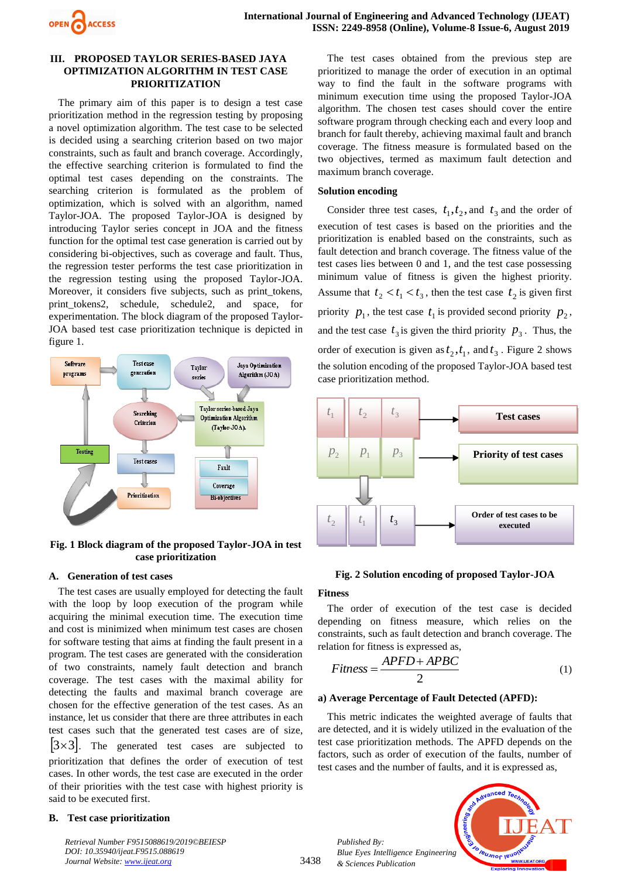

## **III. PROPOSED TAYLOR SERIES-BASED JAYA OPTIMIZATION ALGORITHM IN TEST CASE PRIORITIZATION**

The primary aim of this paper is to design a test case prioritization method in the regression testing by proposing a novel optimization algorithm. The test case to be selected is decided using a searching criterion based on two major constraints, such as fault and branch coverage. Accordingly, the effective searching criterion is formulated to find the optimal test cases depending on the constraints. The searching criterion is formulated as the problem of optimization, which is solved with an algorithm, named Taylor-JOA. The proposed Taylor-JOA is designed by introducing Taylor series concept in JOA and the fitness function for the optimal test case generation is carried out by considering bi-objectives, such as coverage and fault. Thus, the regression tester performs the test case prioritization in the regression testing using the proposed Taylor-JOA. Moreover, it considers five subjects, such as print\_tokens, print tokens2, schedule, schedule2, and space, for experimentation. The block diagram of the proposed Taylor-JOA based test case prioritization technique is depicted in figure 1.



# **Fig. 1 Block diagram of the proposed Taylor-JOA in test case prioritization**

# **A. Generation of test cases**

The test cases are usually employed for detecting the fault with the loop by loop execution of the program while acquiring the minimal execution time. The execution time and cost is minimized when minimum test cases are chosen for software testing that aims at finding the fault present in a program. The test cases are generated with the consideration of two constraints, namely fault detection and branch coverage. The test cases with the maximal ability for detecting the faults and maximal branch coverage are chosen for the effective generation of the test cases. As an instance, let us consider that there are three attributes in each test cases such that the generated test cases are of size,  $|3\times3|$ . The generated test cases are subjected to prioritization that defines the order of execution of test cases. In other words, the test case are executed in the order of their priorities with the test case with highest priority is said to be executed first.

# **B. Test case prioritization**

*Retrieval Number F9515088619/2019©BEIESP DOI: 10.35940/ijeat.F9515.088619 Journal Website: www.ijeat.org*

The test cases obtained from the previous step are prioritized to manage the order of execution in an optimal way to find the fault in the software programs with minimum execution time using the proposed Taylor-JOA algorithm. The chosen test cases should cover the entire software program through checking each and every loop and branch for fault thereby, achieving maximal fault and branch coverage. The fitness measure is formulated based on the two objectives, termed as maximum fault detection and maximum branch coverage.

## **Solution encoding**

Consider three test cases,  $t_1, t_2$ , and  $t_3$  and the order of execution of test cases is based on the priorities and the prioritization is enabled based on the constraints, such as fault detection and branch coverage. The fitness value of the test cases lies between 0 and 1, and the test case possessing minimum value of fitness is given the highest priority. Assume that  $t_2 < t_1 < t_3$ , then the test case  $t_2$  is given first priority  $p_1$ , the test case  $t_1$  is provided second priority  $p_2$ , and the test case  $t_3$  is given the third priority  $p_3$ . Thus, the order of execution is given as  $t_2$ ,  $t_1$ , and  $t_3$ . Figure 2 shows the solution encoding of the proposed Taylor-JOA based test case prioritization method.



# **Fig. 2 Solution encoding of proposed Taylor-JOA**

# **Fitness**

3438

The order of execution of the test case is decided depending on fitness measure, which relies on the constraints, such as fault detection and branch coverage. The relation for fitness is expressed as,

$$
Fitness = \frac{APFD + APBC}{2} \tag{1}
$$

## **a) Average Percentage of Fault Detected (APFD):**

This metric indicates the weighted average of faults that are detected, and it is widely utilized in the evaluation of the test case prioritization methods. The APFD depends on the factors, such as order of execution of the faults, number of test cases and the number of faults, and it is expressed as,

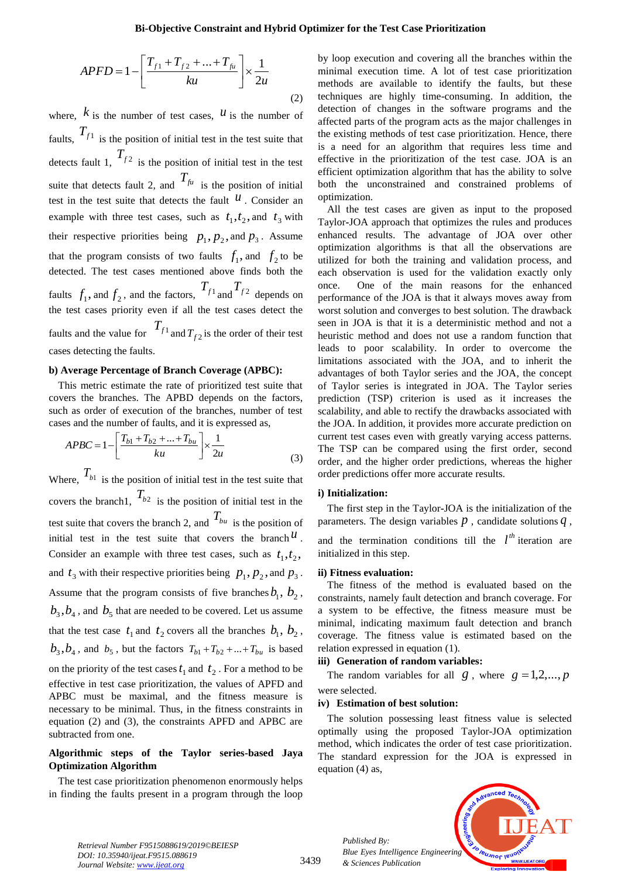$$
APFD = 1 - \left[ \frac{T_{f1} + T_{f2} + \dots + T_{fu}}{ku} \right] \times \frac{1}{2u}
$$
 (2)

where,  $k$  is the number of test cases,  $u$  is the number of faults,  $T_{f_1}$  is the position of initial test in the test suite that detects fault 1,  $T_{f2}$  is the position of initial test in the test suite that detects fault 2, and  $T_{\text{fu}}$  is the position of initial test in the test suite that detects the fault  $\mu$ . Consider an example with three test cases, such as  $t_1, t_2$ , and  $t_3$  with their respective priorities being  $p_1, p_2$ , and  $p_3$ . Assume that the program consists of two faults  $f_1$ , and  $f_2$  to be detected. The test cases mentioned above finds both the faults  $f_1$ , and  $f_2$ , and the factors,  $T_{f_1}$  and  $T_{f_2}$  depends on the test cases priority even if all the test cases detect the faults and the value for  $T_{f_1}$  and  $T_{f_2}$  is the order of their test cases detecting the faults.

## **b) Average Percentage of Branch Coverage (APBC):**

This metric estimate the rate of prioritized test suite that covers the branches. The APBD depends on the factors, such as order of execution of the branches, number of test cases and the number of faults, and it is expressed as,

$$
APBC = 1 - \left[ \frac{T_{b1} + T_{b2} + \dots + T_{bu}}{ku} \right] \times \frac{1}{2u}
$$
 (3)

*L Ku J Zu*<br>*Z L J Z J* is the position of initial test in the test s<br> *T<sub>f1</sub>* is the position of initial test in the test s<br>
fault 1,  $T_{f2}$  is the position of initial test in<br>
the cest saite that decice Where,  $T_{b1}$  is the position of initial test in the test suite that covers the branch1,  $T_{b2}$  is the position of initial test in the test suite that covers the branch 2, and  $T_{bu}$  is the position of initial test in the test suite that covers the branch  $u$ . Consider an example with three test cases, such as  $t_1, t_2$ , and  $t_3$  with their respective priorities being  $p_1, p_2$ , and  $p_3$ . Assume that the program consists of five branches  $b_1$ ,  $b_2$ ,  $b_3$ ,  $b_4$ , and  $b_5$  that are needed to be covered. Let us assume that the test case  $t_1$  and  $t_2$  covers all the branches  $b_1$ ,  $b_2$ ,  $b_3$ ,  $b_4$ , and  $b_5$ , but the factors  $T_{b1} + T_{b2} + ... + T_{bu}$  is based on the priority of the test cases  $t_1$  and  $t_2$ . For a method to be effective in test case prioritization, the values of APFD and APBC must be maximal, and the fitness measure is necessary to be minimal. Thus, in the fitness constraints in equation (2) and (3), the constraints APFD and APBC are subtracted from one.

## **Algorithmic steps of the Taylor series-based Jaya Optimization Algorithm**

The test case prioritization phenomenon enormously helps in finding the faults present in a program through the loop

by loop execution and covering all the branches within the minimal execution time. A lot of test case prioritization methods are available to identify the faults, but these techniques are highly time-consuming. In addition, the detection of changes in the software programs and the affected parts of the program acts as the major challenges in the existing methods of test case prioritization. Hence, there is a need for an algorithm that requires less time and effective in the prioritization of the test case. JOA is an efficient optimization algorithm that has the ability to solve both the unconstrained and constrained problems of optimization.

All the test cases are given as input to the proposed Taylor**-**JOA approach that optimizes the rules and produces enhanced results. The advantage of JOA over other optimization algorithms is that all the observations are utilized for both the training and validation process, and each observation is used for the validation exactly only once. One of the main reasons for the enhanced performance of the JOA is that it always moves away from worst solution and converges to best solution. The drawback seen in JOA is that it is a deterministic method and not a heuristic method and does not use a random function that leads to poor scalability. In order to overcome the limitations associated with the JOA, and to inherit the advantages of both Taylor series and the JOA, the concept of Taylor series is integrated in JOA. The Taylor series prediction (TSP) criterion is used as it increases the scalability, and able to rectify the drawbacks associated with the JOA. In addition, it provides more accurate prediction on current test cases even with greatly varying access patterns. The TSP can be compared using the first order, second order, and the higher order predictions, whereas the higher order predictions offer more accurate results.

#### **i) Initialization:**

The first step in the Taylor**-**JOA is the initialization of the parameters. The design variables  $p$ , candidate solutions  $q$ ,

and the termination conditions till the  $l^{th}$  iteration are initialized in this step.

#### **ii) Fitness evaluation:**

The fitness of the method is evaluated based on the constraints, namely fault detection and branch coverage. For a system to be effective, the fitness measure must be minimal, indicating maximum fault detection and branch coverage. The fitness value is estimated based on the relation expressed in equation (1).

## **iii) Generation of random variables:**

The random variables for all  $g$ , where  $g = 1, 2, ..., p$ were selected.

### **iv) Estimation of best solution:**

*Published By:*

*& Sciences Publication* 

The solution possessing least fitness value is selected optimally using the proposed Taylor-JOA optimization method, which indicates the order of test case prioritization. The standard expression for the JOA is expressed in equation (4) as,



*Retrieval Number F9515088619/2019©BEIESP DOI: 10.35940/ijeat.F9515.088619*

3439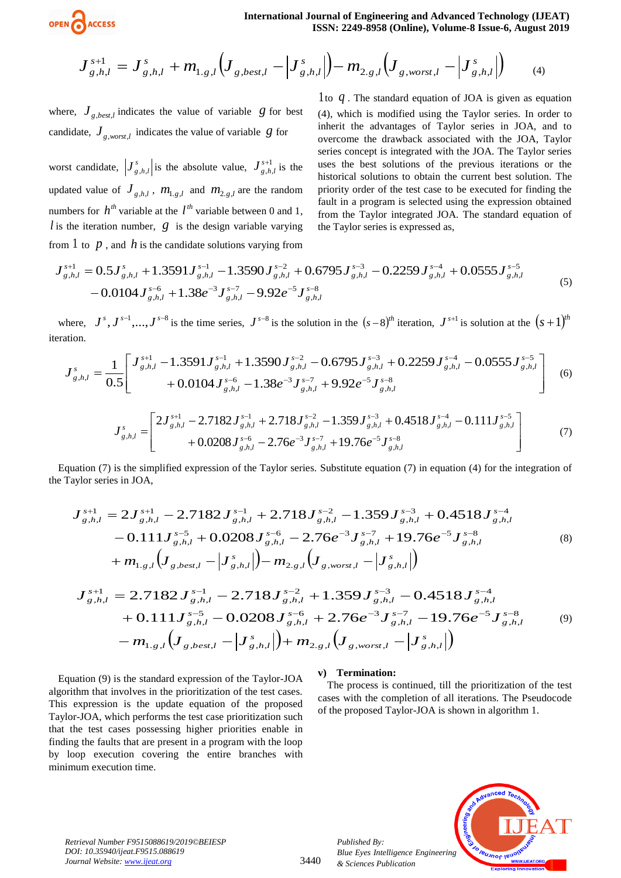

$$
\boldsymbol{J}_{g,h,l}^{s+1} = \boldsymbol{J}_{g,h,l}^{s} + \boldsymbol{m}_{1,g,l} \Big( \boldsymbol{J}_{g,best,l} - \Big| \boldsymbol{J}_{g,h,l}^{s} \Big| \Big) - \boldsymbol{m}_{2,g,l} \Big( \boldsymbol{J}_{g,worst,l} - \Big| \boldsymbol{J}_{g,h,l}^{s} \Big| \Big) \tag{4}
$$

where,  $J_{g,best,l}$  indicates the value of variable  $g$  for best candidate,  $J_{g,worst,l}$  indicates the value of variable  $g$  for

worst candidate,  $J_s^s$  $J_{g,h,l}^s$  is the absolute value,  $J_{g,h}^{s+1}$  $, h,$ *s*  $J_{g,h,l}^{s+1}$  is the updated value of  $J_{g,h,l}$ ,  $m_{1,g,l}$  and  $m_{2,g,l}$  are the random numbers for  $h^{th}$  variable at the  $l^{th}$  variable between 0 and 1, l is the iteration number,  $g$  is the design variable varying from  $1$  to  $p$ , and  $h$  is the candidate solutions varying from

1 to *q* . The standard equation of JOA is given as equation (4), which is modified using the Taylor series. In order to inherit the advantages of Taylor series in JOA, and to overcome the drawback associated with the JOA, Taylor series concept is integrated with the JOA. The Taylor series uses the best solutions of the previous iterations or the historical solutions to obtain the current best solution. The priority order of the test case to be executed for finding the fault in a program is selected using the expression obtained from the Taylor integrated JOA. The standard equation of the Taylor series is expressed as,

$$
J_{g,h,l}^{s+1} = 0.5J_{g,h,l}^{s} + 1.3591J_{g,h,l}^{s-1} - 1.3590J_{g,h,l}^{s-2} + 0.6795J_{g,h,l}^{s-3} - 0.2259J_{g,h,l}^{s-4} + 0.0555J_{g,h,l}^{s-5}
$$
  
- 0.0104  $J_{g,h,l}^{s-6} + 1.38e^{-3}J_{g,h,l}^{s-7} - 9.92e^{-5}J_{g,h,l}^{s-8}$  (5)

where,  $J^s, J^{s-1},..., J^{s-8}$  is the time series,  $J^{s-8}$  is the solution in the  $(s-8)^{th}$  iteration,  $J^{s+1}$  is solution at the  $(s+1)^{th}$ iteration.

$$
J_{g,h,l}^{s} = \frac{1}{0.5} \left[ \frac{J_{g,h,l}^{s+l} - 1.3591 J_{g,h,l}^{s-l} + 1.3590 J_{g,h,l}^{s-2} - 0.6795 J_{g,h,l}^{s-3} + 0.2259 J_{g,h,l}^{s-4} - 0.0555 J_{g,h,l}^{s-5}}{+ 0.0104 J_{g,h,l}^{s-6} - 1.38 e^{-3} J_{g,h,l}^{s-7} + 9.92 e^{-5} J_{g,h,l}^{s-8}} \right]
$$
(6)

$$
J_{g,h,l}^{s} = \begin{bmatrix} 2J_{g,h,l}^{s+1} - 2.7182J_{g,h,l}^{s-1} + 2.718J_{g,h,l}^{s-2} - 1.359J_{g,h,l}^{s-3} + 0.4518J_{g,h,l}^{s-4} - 0.111J_{g,h,l}^{s-5} \\ + 0.0208J_{g,h,l}^{s-6} - 2.76e^{-3}J_{g,h,l}^{s-7} + 19.76e^{-5}J_{g,h,l}^{s-8} \end{bmatrix}
$$
(7)

Equation (7) is the simplified expression of the Taylor series. Substitute equation (7) in equation (4) for the integration of the Taylor series in JOA,

$$
J_{g,h,l}^{s+1} = J_{g,h,l}^{s+1} + m_{1,g,f}(J_{g,bos,t,l} - J_{g,h,l}^{s+1}) - m_{2,g,f}(J_{g,wos,t,l} - J_{g,h,l}^{s+1})
$$
\n
$$
J_{g,bos,t}^{s+1} = J_{g,bos,t}^{s+1} + J_{g,bos,t}^{s+1} + J_{g,bos,t}^{s+1} + J_{g,bos,t}^{s+1}
$$
\n
$$
J_{g,bos,t}^{s+1} = 0.04
$$
\n
$$
J_{g,bos,t}^{s+1} = 0.04
$$
\n
$$
J_{g,bos,t}^{s+1} = 0.04
$$
\n
$$
J_{g,bos,t}^{s+1} = 0.04
$$
\n
$$
J_{g,bos,t}^{s+1} = 0.04
$$
\n
$$
J_{g,bos,t}^{s+1} = 0.04
$$
\n
$$
J_{g,bos,t}^{s+1} = 0.04
$$
\n
$$
J_{g,bos,t}^{s+1} = 0.04
$$
\n
$$
J_{g,bos,t}^{s+1} = 0.04
$$
\n
$$
J_{g,bos,t}^{s+1} = 0.04
$$
\n
$$
J_{g,bos,t}^{s+1} = 0.04
$$
\n
$$
J_{g,bos,t}^{s+1} = 0.04
$$
\n
$$
J_{g,bos,t}^{s+1} = 0.04
$$
\n
$$
J_{g,bos,t}^{s+1} = 0.04
$$
\n
$$
J_{g,bos,t}^{s+1} = 0.04
$$
\n
$$
J_{g,bos,t}^{s+1} = 0.04
$$
\n
$$
J_{g,bos,t}^{s+1} = 0.04
$$
\n
$$
J_{g,bos,t}^{s+1} = 0.04
$$
\n
$$
J_{g,bos,t}^{s+1} = 0.04
$$
\n
$$
J_{g,bos,t}^{s+1} = 0.04
$$
\n
$$
J_{g,bos,t}^{s+1} = 0.04
$$
\n
$$
J_{g,bos,t}^{s+1
$$

$$
J_{g,h,l}^{s+1} = 2.7182 J_{g,h,l}^{s-1} - 2.718 J_{g,h,l}^{s-2} + 1.359 J_{g,h,l}^{s-3} - 0.4518 J_{g,h,l}^{s-4} + 0.111 J_{g,h,l}^{s-5} - 0.0208 J_{g,h,l}^{s-6} + 2.76 e^{-3} J_{g,h,l}^{s-7} - 19.76 e^{-5} J_{g,h,l}^{s-8} - m_{1,g,l} \Big(J_{g,best,l} - |J_{g,h,l}^{s}| \Big) + m_{2,g,l} \Big(J_{g,worst,l} - |J_{g,h,l}^{s}| \Big)
$$
(9)

Equation (9) is the standard expression of the Taylor-JOA algorithm that involves in the prioritization of the test cases. This expression is the update equation of the proposed Taylor-JOA, which performs the test case prioritization such that the test cases possessing higher priorities enable in finding the faults that are present in a program with the loop by loop execution covering the entire branches with minimum execution time.

#### **v) Termination:**

*Published By:*

*& Sciences Publication* 

The process is continued, till the prioritization of the test cases with the completion of all iterations. The Pseudocode of the proposed Taylor-JOA is shown in algorithm 1.



*Retrieval Number F9515088619/2019©BEIESP DOI: 10.35940/ijeat.F9515.088619*

3440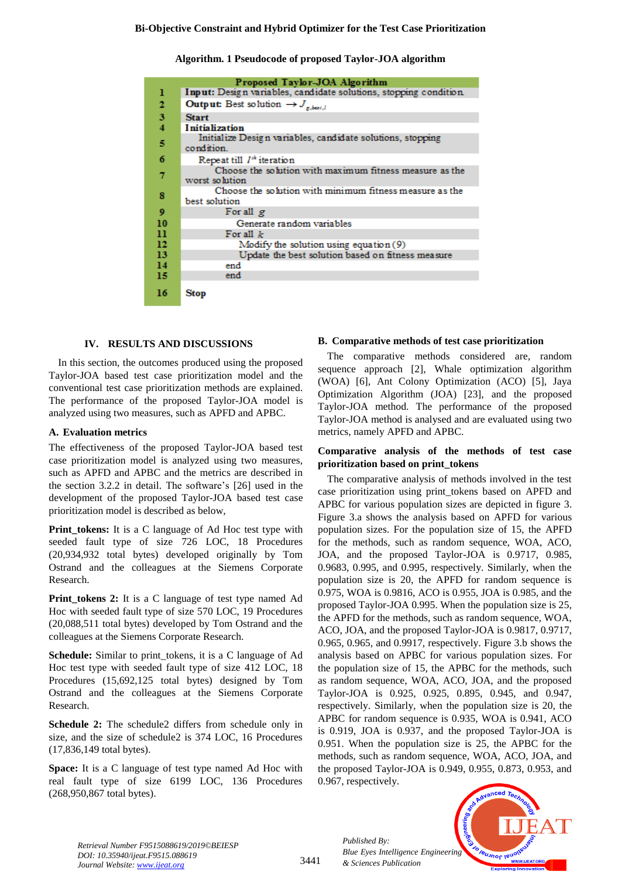**Algorithm. 1 Pseudocode of proposed Taylor-JOA algorithm**

| Proposed Taylor-JOA Algorithm |                                                                           |  |  |  |  |  |  |  |
|-------------------------------|---------------------------------------------------------------------------|--|--|--|--|--|--|--|
| 1                             | Input: Design variables, candidate solutions, stopping condition.         |  |  |  |  |  |  |  |
| 2                             | <b>Output:</b> Best solution $\rightarrow J_{g, best,l}$                  |  |  |  |  |  |  |  |
| 3                             | <b>Start</b>                                                              |  |  |  |  |  |  |  |
| 4                             | <b>Initialization</b>                                                     |  |  |  |  |  |  |  |
| 5                             | Initialize Design variables, candidate solutions, stopping<br>condition.  |  |  |  |  |  |  |  |
| 6                             | Repeat till 1 <sup>th</sup> iteration                                     |  |  |  |  |  |  |  |
| 7                             | Choose the solution with maximum fitness measure as the<br>worst solution |  |  |  |  |  |  |  |
| 8                             | Choose the solution with minimum fitness measure as the<br>best solution  |  |  |  |  |  |  |  |
| 9                             | For all g                                                                 |  |  |  |  |  |  |  |
| 10                            | Generate random variables                                                 |  |  |  |  |  |  |  |
| n                             | For all $k$                                                               |  |  |  |  |  |  |  |
| 12                            | Modify the solution using equation (9)                                    |  |  |  |  |  |  |  |
| 13                            | Update the best solution based on fitness measure                         |  |  |  |  |  |  |  |
| 14                            | end                                                                       |  |  |  |  |  |  |  |
| 15                            | end                                                                       |  |  |  |  |  |  |  |
| 16                            | Stop                                                                      |  |  |  |  |  |  |  |

# **IV. RESULTS AND DISCUSSIONS**

In this section, the outcomes produced using the proposed Taylor-JOA based test case prioritization model and the conventional test case prioritization methods are explained. The performance of the proposed Taylor-JOA model is analyzed using two measures, such as APFD and APBC.

## **A. Evaluation metrics**

The effectiveness of the proposed Taylor-JOA based test case prioritization model is analyzed using two measures, such as APFD and APBC and the metrics are described in the section 3.2.2 in detail. The software's [26] used in the development of the proposed Taylor-JOA based test case prioritization model is described as below,

**Print\_tokens:** It is a C language of Ad Hoc test type with seeded fault type of size 726 LOC, 18 Procedures (20,934,932 total bytes) developed originally by Tom Ostrand and the colleagues at the Siemens Corporate Research.

**Print\_tokens 2:** It is a C language of test type named Ad Hoc with seeded fault type of size 570 LOC, 19 Procedures (20,088,511 total bytes) developed by Tom Ostrand and the colleagues at the Siemens Corporate Research.

**Schedule:** Similar to print\_tokens, it is a C language of Ad Hoc test type with seeded fault type of size 412 LOC, 18 Procedures (15,692,125 total bytes) designed by Tom Ostrand and the colleagues at the Siemens Corporate Research.

**Schedule 2:** The schedule2 differs from schedule only in size, and the size of schedule2 is 374 LOC, 16 Procedures (17,836,149 total bytes).

**Space:** It is a C language of test type named Ad Hoc with real fault type of size 6199 LOC, 136 Procedures (268,950,867 total bytes).

# **B. Comparative methods of test case prioritization**

The comparative methods considered are, random sequence approach [2], Whale optimization algorithm (WOA) [6], Ant Colony Optimization (ACO) [5], Jaya Optimization Algorithm (JOA) [23], and the proposed Taylor-JOA method. The performance of the proposed Taylor-JOA method is analysed and are evaluated using two metrics, namely APFD and APBC.

## **Comparative analysis of the methods of test case prioritization based on print\_tokens**

The comparative analysis of methods involved in the test case prioritization using print\_tokens based on APFD and APBC for various population sizes are depicted in figure 3. Figure 3.a shows the analysis based on APFD for various population sizes. For the population size of 15, the APFD for the methods, such as random sequence, WOA, ACO, JOA, and the proposed Taylor-JOA is 0.9717, 0.985, 0.9683, 0.995, and 0.995, respectively. Similarly, when the population size is 20, the APFD for random sequence is 0.975, WOA is 0.9816, ACO is 0.955, JOA is 0.985, and the proposed Taylor-JOA 0.995. When the population size is 25, the APFD for the methods, such as random sequence, WOA, ACO, JOA, and the proposed Taylor-JOA is 0.9817, 0.9717, 0.965, 0.965, and 0.9917, respectively. Figure 3.b shows the analysis based on APBC for various population sizes. For the population size of 15, the APBC for the methods, such as random sequence, WOA, ACO, JOA, and the proposed Taylor-JOA is 0.925, 0.925, 0.895, 0.945, and 0.947, respectively. Similarly, when the population size is 20, the APBC for random sequence is 0.935, WOA is 0.941, ACO is 0.919, JOA is 0.937, and the proposed Taylor-JOA is 0.951. When the population size is 25, the APBC for the methods, such as random sequence, WOA, ACO, JOA, and the proposed Taylor-JOA is 0.949, 0.955, 0.873, 0.953, and 0.967, respectively.



*Retrieval Number F9515088619/2019©BEIESP DOI: 10.35940/ijeat.F9515.088619 Journal Website: www.ijeat.org*

3441

*Published By:*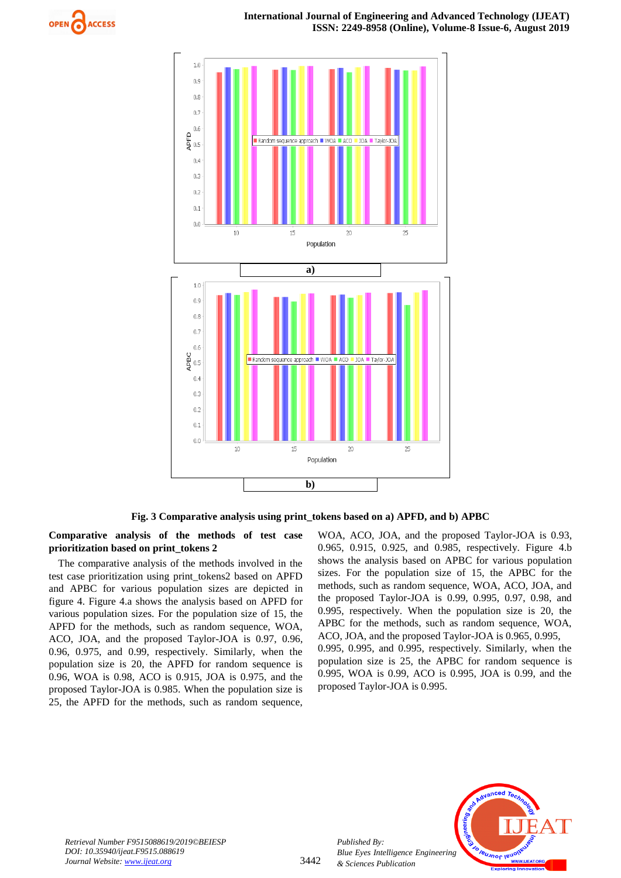



**Fig. 3 Comparative analysis using print\_tokens based on a) APFD, and b) APBC**

**Comparative analysis of the methods of test case prioritization based on print\_tokens 2**

The comparative analysis of the methods involved in the test case prioritization using print\_tokens2 based on APFD and APBC for various population sizes are depicted in figure 4. Figure 4.a shows the analysis based on APFD for various population sizes. For the population size of 15, the APFD for the methods, such as random sequence, WOA, ACO, JOA, and the proposed Taylor-JOA is 0.97, 0.96, 0.96, 0.975, and 0.99, respectively. Similarly, when the population size is 20, the APFD for random sequence is 0.96, WOA is 0.98, ACO is 0.915, JOA is 0.975, and the proposed Taylor-JOA is 0.985. When the population size is 25, the APFD for the methods, such as random sequence,

WOA, ACO, JOA, and the proposed Taylor-JOA is 0.93, 0.965, 0.915, 0.925, and 0.985, respectively. Figure 4.b shows the analysis based on APBC for various population sizes. For the population size of 15, the APBC for the methods, such as random sequence, WOA, ACO, JOA, and the proposed Taylor-JOA is 0.99, 0.995, 0.97, 0.98, and 0.995, respectively. When the population size is 20, the APBC for the methods, such as random sequence, WOA, ACO, JOA, and the proposed Taylor-JOA is 0.965, 0.995, 0.995, 0.995, and 0.995, respectively. Similarly, when the population size is 25, the APBC for random sequence is 0.995, WOA is 0.99, ACO is 0.995, JOA is 0.99, and the proposed Taylor-JOA is 0.995.



*Retrieval Number F9515088619/2019©BEIESP DOI: 10.35940/ijeat.F9515.088619 Journal Website: www.ijeat.org*

3442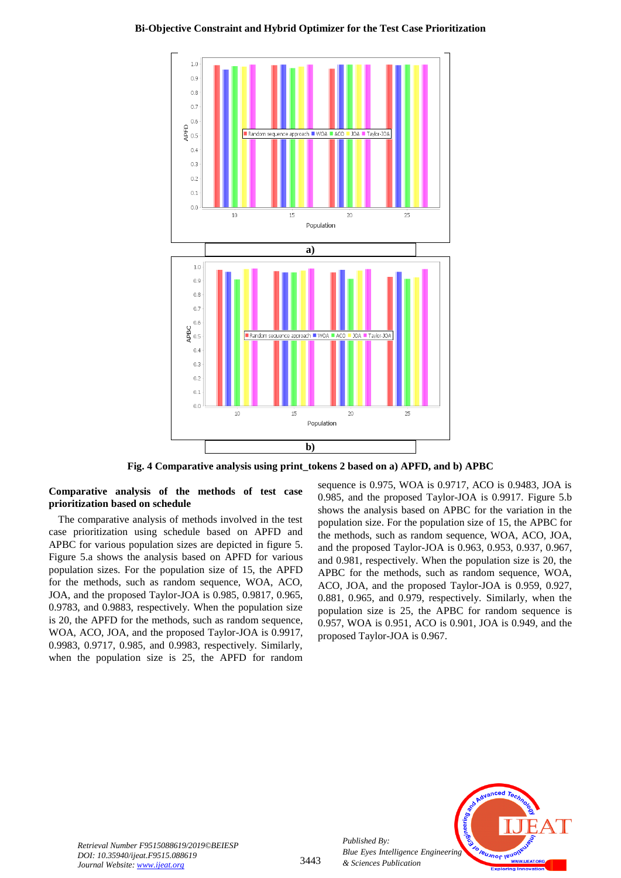

**Fig. 4 Comparative analysis using print\_tokens 2 based on a) APFD, and b) APBC**

# **Comparative analysis of the methods of test case prioritization based on schedule**

The comparative analysis of methods involved in the test case prioritization using schedule based on APFD and APBC for various population sizes are depicted in figure 5. Figure 5.a shows the analysis based on APFD for various population sizes. For the population size of 15, the APFD for the methods, such as random sequence, WOA, ACO, JOA, and the proposed Taylor-JOA is 0.985, 0.9817, 0.965, 0.9783, and 0.9883, respectively. When the population size is 20, the APFD for the methods, such as random sequence, WOA, ACO, JOA, and the proposed Taylor-JOA is 0.9917, 0.9983, 0.9717, 0.985, and 0.9983, respectively. Similarly, when the population size is 25, the APFD for random

sequence is 0.975, WOA is 0.9717, ACO is 0.9483, JOA is 0.985, and the proposed Taylor-JOA is 0.9917. Figure 5.b shows the analysis based on APBC for the variation in the population size. For the population size of 15, the APBC for the methods, such as random sequence, WOA, ACO, JOA, and the proposed Taylor-JOA is 0.963, 0.953, 0.937, 0.967, and 0.981, respectively. When the population size is 20, the APBC for the methods, such as random sequence, WOA, ACO, JOA, and the proposed Taylor-JOA is 0.959, 0.927, 0.881, 0.965, and 0.979, respectively. Similarly, when the population size is 25, the APBC for random sequence is 0.957, WOA is 0.951, ACO is 0.901, JOA is 0.949, and the proposed Taylor-JOA is 0.967.



*Published By:*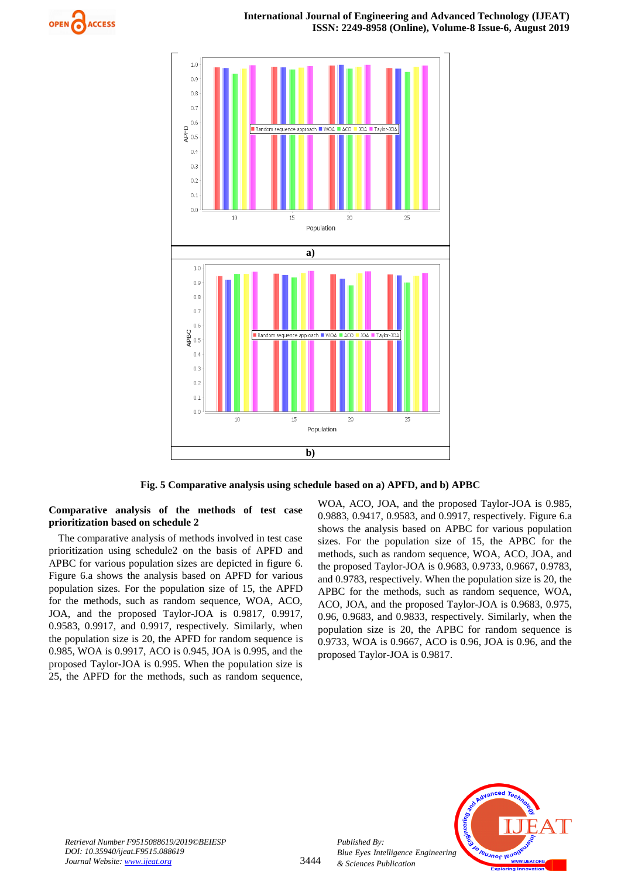



**Fig. 5 Comparative analysis using schedule based on a) APFD, and b) APBC**

# **Comparative analysis of the methods of test case prioritization based on schedule 2**

The comparative analysis of methods involved in test case prioritization using schedule2 on the basis of APFD and APBC for various population sizes are depicted in figure 6. Figure 6.a shows the analysis based on APFD for various population sizes. For the population size of 15, the APFD for the methods, such as random sequence, WOA, ACO, JOA, and the proposed Taylor-JOA is 0.9817, 0.9917, 0.9583, 0.9917, and 0.9917, respectively. Similarly, when the population size is 20, the APFD for random sequence is 0.985, WOA is 0.9917, ACO is 0.945, JOA is 0.995, and the proposed Taylor-JOA is 0.995. When the population size is 25, the APFD for the methods, such as random sequence,

WOA, ACO, JOA, and the proposed Taylor-JOA is 0.985, 0.9883, 0.9417, 0.9583, and 0.9917, respectively. Figure 6.a shows the analysis based on APBC for various population sizes. For the population size of 15, the APBC for the methods, such as random sequence, WOA, ACO, JOA, and the proposed Taylor-JOA is 0.9683, 0.9733, 0.9667, 0.9783, and 0.9783, respectively. When the population size is 20, the APBC for the methods, such as random sequence, WOA, ACO, JOA, and the proposed Taylor-JOA is 0.9683, 0.975, 0.96, 0.9683, and 0.9833, respectively. Similarly, when the population size is 20, the APBC for random sequence is 0.9733, WOA is 0.9667, ACO is 0.96, JOA is 0.96, and the proposed Taylor-JOA is 0.9817.



*Retrieval Number F9515088619/2019©BEIESP DOI: 10.35940/ijeat.F9515.088619 Journal Website: www.ijeat.org*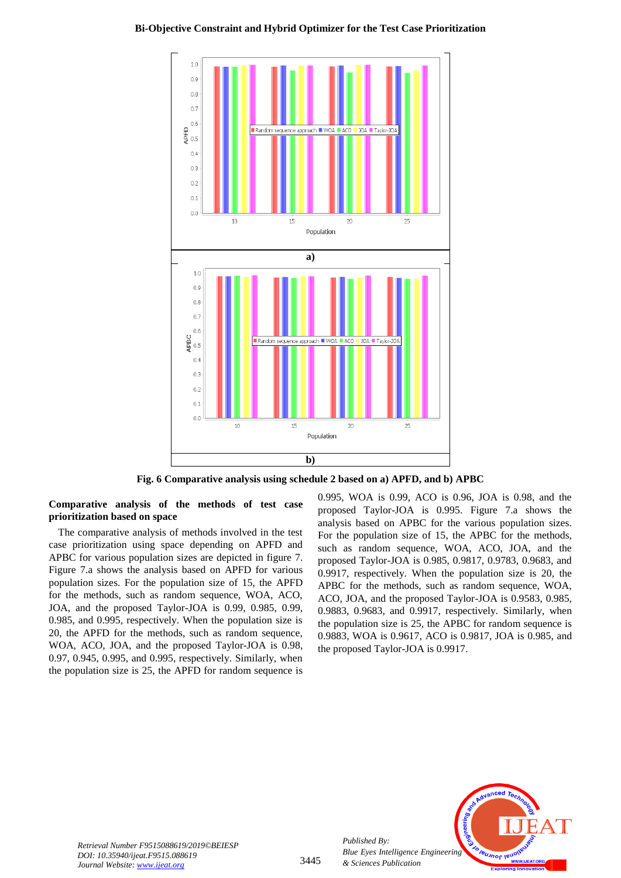



**Fig. 6 Comparative analysis using schedule 2 based on a) APFD, and b) APBC**

**Comparative analysis of the methods of test case prioritization based on space**

The comparative analysis of methods involved in the test case prioritization using space depending on APFD and APBC for various population sizes are depicted in figure 7. Figure 7.a shows the analysis based on APFD for various population sizes. For the population size of 15, the APFD for the methods, such as random sequence, WOA, ACO, JOA, and the proposed Taylor-JOA is 0.99, 0.985, 0.99, 0.985, and 0.995, respectively. When the population size is 20, the APFD for the methods, such as random sequence, WOA, ACO, JOA, and the proposed Taylor-JOA is 0.98, 0.97, 0.945, 0.995, and 0.995, respectively. Similarly, when the population size is 25, the APFD for random sequence is 0.995, WOA is 0.99, ACO is 0.96, JOA is 0.98, and the proposed Taylor-JOA is 0.995. Figure 7.a shows the analysis based on APBC for the various population sizes. For the population size of 15, the APBC for the methods, such as random sequence, WOA, ACO, JOA, and the proposed Taylor-JOA is 0.985, 0.9817, 0.9783, 0.9683, and 0.9917, respectively. When the population size is 20, the APBC for the methods, such as random sequence, WOA, ACO, JOA, and the proposed Taylor-JOA is 0.9583, 0.985, 0.9883, 0.9683, and 0.9917, respectively. Similarly, when the population size is 25, the APBC for random sequence is 0.9883, WOA is 0.9617, ACO is 0.9817, JOA is 0.985, and the proposed Taylor-JOA is 0.9917.



*Retrieval Number F9515088619/2019©BEIESP DOI: 10.35940/ijeat.F9515.088619 Journal Website: www.ijeat.org*

*Published By:*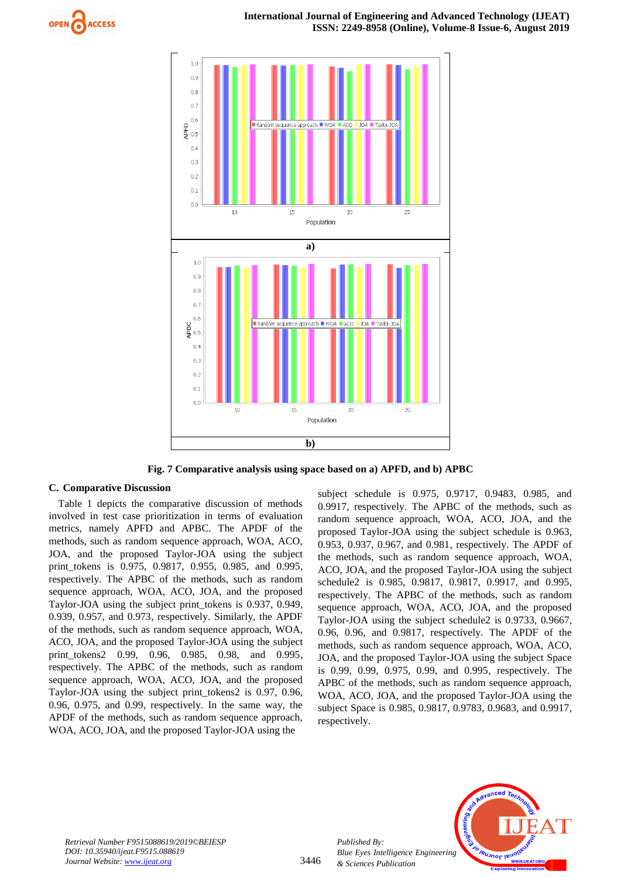



**Fig. 7 Comparative analysis using space based on a) APFD, and b) APBC**

# **C. Comparative Discussion**

Table 1 depicts the comparative discussion of methods involved in test case prioritization in terms of evaluation metrics, namely APFD and APBC. The APDF of the methods, such as random sequence approach, WOA, ACO, JOA, and the proposed Taylor-JOA using the subject print\_tokens is 0.975, 0.9817, 0.955, 0.985, and 0.995, respectively. The APBC of the methods, such as random sequence approach, WOA, ACO, JOA, and the proposed Taylor-JOA using the subject print\_tokens is 0.937, 0.949, 0.939, 0.957, and 0.973, respectively. Similarly, the APDF of the methods, such as random sequence approach, WOA, ACO, JOA, and the proposed Taylor-JOA using the subject print\_tokens2 0.99, 0.96, 0.985, 0.98, and 0.995, respectively. The APBC of the methods, such as random sequence approach, WOA, ACO, JOA, and the proposed Taylor-JOA using the subject print\_tokens2 is 0.97, 0.96, 0.96, 0.975, and 0.99, respectively. In the same way, the APDF of the methods, such as random sequence approach, WOA, ACO, JOA, and the proposed Taylor-JOA using the

subject schedule is 0.975, 0.9717, 0.9483, 0.985, and 0.9917, respectively. The APBC of the methods, such as random sequence approach, WOA, ACO, JOA, and the proposed Taylor-JOA using the subject schedule is 0.963, 0.953, 0.937, 0.967, and 0.981, respectively. The APDF of the methods, such as random sequence approach, WOA, ACO, JOA, and the proposed Taylor-JOA using the subject schedule2 is 0.985, 0.9817, 0.9817, 0.9917, and 0.995, respectively. The APBC of the methods, such as random sequence approach, WOA, ACO, JOA, and the proposed Taylor-JOA using the subject schedule2 is 0.9733, 0.9667, 0.96, 0.96, and 0.9817, respectively. The APDF of the methods, such as random sequence approach, WOA, ACO, JOA, and the proposed Taylor-JOA using the subject Space is 0.99, 0.99, 0.975, 0.99, and 0.995, respectively. The APBC of the methods, such as random sequence approach, WOA, ACO, JOA, and the proposed Taylor-JOA using the subject Space is 0.985, 0.9817, 0.9783, 0.9683, and 0.9917, respectively.



*Retrieval Number F9515088619/2019©BEIESP DOI: 10.35940/ijeat.F9515.088619 Journal Website: www.ijeat.org*

3446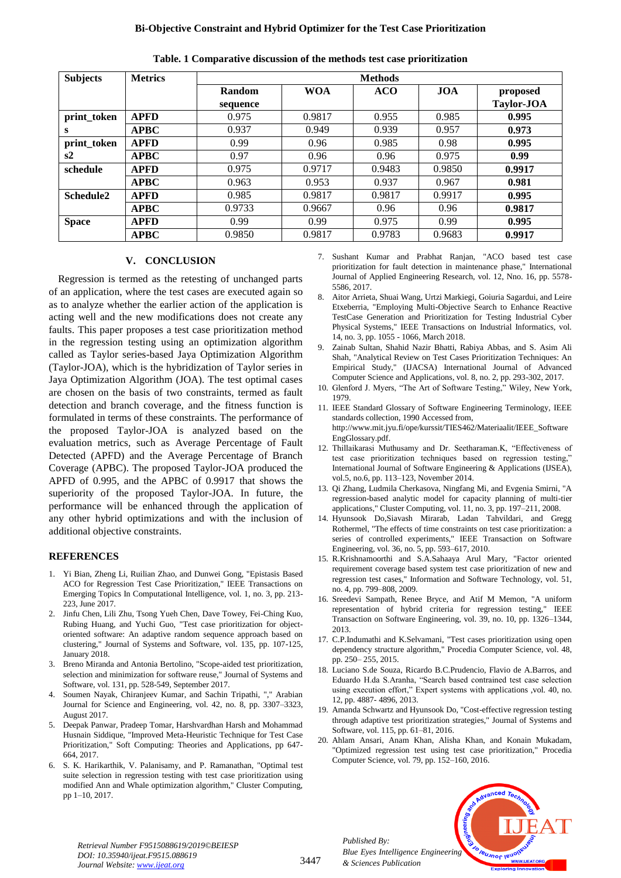## **Bi-Objective Constraint and Hybrid Optimizer for the Test Case Prioritization**

| <b>Subjects</b>       | <b>Metrics</b> | <b>Methods</b> |            |            |            |                   |  |
|-----------------------|----------------|----------------|------------|------------|------------|-------------------|--|
|                       |                | Random         | <b>WOA</b> | <b>ACO</b> | <b>JOA</b> | proposed          |  |
|                       |                | sequence       |            |            |            | <b>Taylor-JOA</b> |  |
| print_token           | <b>APFD</b>    | 0.975          | 0.9817     | 0.955      | 0.985      | 0.995             |  |
| s                     | <b>APBC</b>    | 0.937          | 0.949      | 0.939      | 0.957      | 0.973             |  |
| print_token           | <b>APFD</b>    | 0.99           | 0.96       | 0.985      | 0.98       | 0.995             |  |
| s2                    | <b>APBC</b>    | 0.97           | 0.96       | 0.96       | 0.975      | 0.99              |  |
| schedule              | <b>APFD</b>    | 0.975          | 0.9717     | 0.9483     | 0.9850     | 0.9917            |  |
|                       | <b>APBC</b>    | 0.963          | 0.953      | 0.937      | 0.967      | 0.981             |  |
| Schedule <sub>2</sub> | <b>APFD</b>    | 0.985          | 0.9817     | 0.9817     | 0.9917     | 0.995             |  |
|                       | <b>APBC</b>    | 0.9733         | 0.9667     | 0.96       | 0.96       | 0.9817            |  |
| <b>Space</b>          | <b>APFD</b>    | 0.99           | 0.99       | 0.975      | 0.99       | 0.995             |  |
|                       | <b>APBC</b>    | 0.9850         | 0.9817     | 0.9783     | 0.9683     | 0.9917            |  |

**Table. 1 Comparative discussion of the methods test case prioritization**

## **V. CONCLUSION**

Regression is termed as the retesting of unchanged parts of an application, where the test cases are executed again so as to analyze whether the earlier action of the application is acting well and the new modifications does not create any faults. This paper proposes a test case prioritization method in the regression testing using an optimization algorithm called as Taylor series-based Jaya Optimization Algorithm (Taylor-JOA), which is the hybridization of Taylor series in Jaya Optimization Algorithm (JOA). The test optimal cases are chosen on the basis of two constraints, termed as fault detection and branch coverage, and the fitness function is formulated in terms of these constraints. The performance of the proposed Taylor-JOA is analyzed based on the evaluation metrics, such as Average Percentage of Fault Detected (APFD) and the Average Percentage of Branch Coverage (APBC). The proposed Taylor-JOA produced the APFD of 0.995, and the APBC of 0.9917 that shows the superiority of the proposed Taylor-JOA. In future, the performance will be enhanced through the application of any other hybrid optimizations and with the inclusion of additional objective constraints.

# **REFERENCES**

- 1. Yi Bian, Zheng Li, Ruilian Zhao, and Dunwei Gong, "Epistasis Based ACO for Regression Test Case Prioritization," IEEE Transactions on Emerging Topics In Computational Intelligence, vol. 1, no. 3, pp. 213- 223, June 2017.
- 2. Jinfu Chen, Lili Zhu, Tsong Yueh Chen, Dave Towey, Fei-Ching Kuo, Rubing Huang, and Yuchi Guo, "Test case prioritization for objectoriented software: An adaptive random sequence approach based on clustering," Journal of Systems and Software, vol. 135, pp. 107-125, January 2018.
- 3. Breno Miranda and Antonia Bertolino, "Scope-aided test prioritization, selection and minimization for software reuse," Journal of Systems and Software, vol. 131, pp. 528-549, September 2017.
- 4. Soumen Nayak, Chiranjeev Kumar, and Sachin Tripathi, "," Arabian Journal for Science and Engineering, vol. 42, no. 8, pp. 3307–3323, August 2017.
- 5. Deepak Panwar, Pradeep Tomar, Harshvardhan Harsh and Mohammad Husnain Siddique, "Improved Meta-Heuristic Technique for Test Case Prioritization," Soft Computing: Theories and Applications, pp 647- 664, 2017.
- 6. S. K. Harikarthik, V. Palanisamy, and P. Ramanathan, "Optimal test suite selection in regression testing with test case prioritization using modified Ann and Whale optimization algorithm," Cluster Computing, pp 1–10, 2017.
- 7. Sushant Kumar and Prabhat Ranjan, "ACO based test case prioritization for fault detection in maintenance phase," International Journal of Applied Engineering Research, vol. 12, Nno. 16, pp. 5578- 5586, 2017.
- 8. Aitor Arrieta, Shuai Wang, Urtzi Markiegi, Goiuria Sagardui, and Leire Etxeberria, "Employing Multi-Objective Search to Enhance Reactive TestCase Generation and Prioritization for Testing Industrial Cyber Physical Systems," IEEE Transactions on Industrial Informatics, vol. 14, no. 3, pp. 1055 - 1066, March 2018.
- 9. Zainab Sultan, Shahid Nazir Bhatti, Rabiya Abbas, and S. Asim Ali Shah, "Analytical Review on Test Cases Prioritization Techniques: An Empirical Study," (IJACSA) International Journal of Advanced Computer Science and Applications, vol. 8, no. 2, pp. 293-302, 2017.
- 10. Glenford J. Myers, "The Art of Software Testing," Wiley, New York, 1979.
- 11. IEEE Standard Glossary of Software Engineering Terminology, IEEE standards collection, 1990 Accessed from, [http://www.mit.jyu.fi/ope/kurssit/TIES462/Materiaalit/IEEE\\_Software](http://www.mit.jyu.fi/ope/kurssit/TIES462/Materiaalit/IEEE_SoftwareEngGlossary.pdf) [EngGlossary.pdf.](http://www.mit.jyu.fi/ope/kurssit/TIES462/Materiaalit/IEEE_SoftwareEngGlossary.pdf)
- 12. Thillaikarasi Muthusamy and Dr. Seetharaman.K, "Effectiveness of test case prioritization techniques based on regression testing," International Journal of Software Engineering & Applications (IJSEA), vol.5, no.6, pp. 113–123, November 2014.
- 13. Qi Zhang, Ludmila Cherkasova, Ningfang Mi, and Evgenia Smirni, "A regression-based analytic model for capacity planning of multi-tier applications," Cluster Computing, vol. 11, no. 3, pp. 197–211, 2008.
- 14. Hyunsook Do,Siavash Mirarab, Ladan Tahvildari, and Gregg Rothermel, "The effects of time constraints on test case prioritization: a series of controlled experiments," IEEE Transaction on Software Engineering, vol. 36, no. 5, pp. 593–617, 2010.
- 15. R.Krishnamoorthi and S.A.Sahaaya Arul Mary, "Factor oriented requirement coverage based system test case prioritization of new and regression test cases," Information and Software Technology, vol. 51, no. 4, pp. 799–808, 2009.
- 16. Sreedevi Sampath, Renee Bryce, and Atif M Memon, "A uniform representation of hybrid criteria for regression testing," IEEE Transaction on Software Engineering, vol. 39, no. 10, pp. 1326–1344, 2013.
- 17. C.P.Indumathi and K.Selvamani, "Test cases prioritization using open dependency structure algorithm," Procedia Computer Science, vol. 48, pp. 250– 255, 2015.
- 18. Luciano S.de Souza, Ricardo B.C.Prudencio, Flavio de A.Barros, and Eduardo H.da S.Aranha, "Search based contrained test case selection using execution effort," Expert systems with applications ,vol. 40, no. 12, pp. 4887- 4896, 2013.
- 19. Amanda Schwartz and Hyunsook Do, "Cost-effective regression testing through adaptive test prioritization strategies," Journal of Systems and Software, vol. 115, pp. 61–81, 2016.
- 20. Ahlam Ansari, Anam Khan, Alisha Khan, and Konain Mukadam, "Optimized regression test using test case prioritization," Procedia Computer Science, vol. 79, pp. 152–160, 2016.

*Published By: Blue Eyes Intelligence Engineering & Sciences Publication* 



*Retrieval Number F9515088619/2019©BEIESP DOI: 10.35940/ijeat.F9515.088619 Journal Website: www.ijeat.org*